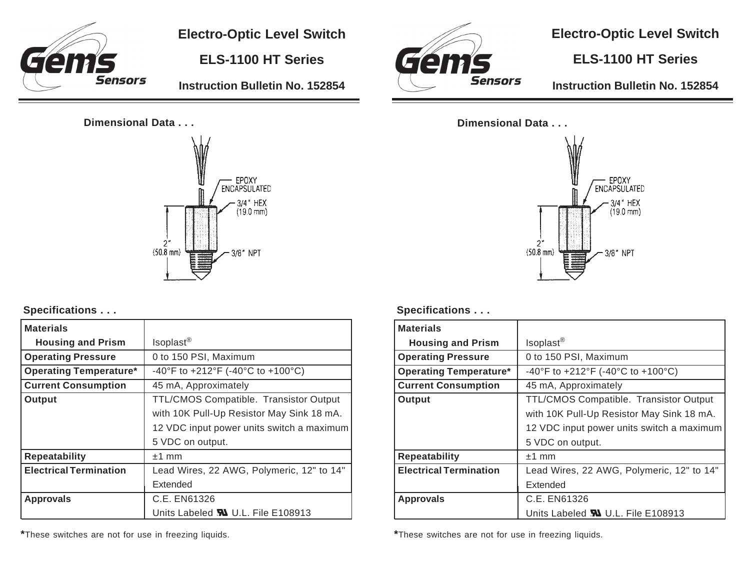

**Electro-Optic Level Switch**

**ELS-1100 HT Series**

**Instruction Bulletin No. 152854**

## **Dimensional Data . . .**



#### **Specifications . . .**

| <b>Materials</b>              |                                           |
|-------------------------------|-------------------------------------------|
| <b>Housing and Prism</b>      | Isoplast <sup>®</sup>                     |
| <b>Operating Pressure</b>     | 0 to 150 PSI, Maximum                     |
| <b>Operating Temperature*</b> | -40°F to +212°F (-40°C to +100°C)         |
| <b>Current Consumption</b>    | 45 mA, Approximately                      |
| Output                        | TTL/CMOS Compatible. Transistor Output    |
|                               | with 10K Pull-Up Resistor May Sink 18 mA. |
|                               | 12 VDC input power units switch a maximum |
|                               | 5 VDC on output.                          |
| <b>Repeatability</b>          | $±1$ mm                                   |
| <b>Electrical Termination</b> | Lead Wires, 22 AWG, Polymeric, 12" to 14" |
|                               | Extended                                  |
| <b>Approvals</b>              | C.E. EN61326                              |
|                               | Units Labeled <b>W</b> U.L. File E108913  |

C'en **Sensors** 

**Electro-Optic Level Switch**

# **ELS-1100 HT Series**

**Instruction Bulletin No. 152854**





#### **Specifications . . .**

| <b>Materials</b>              |                                           |
|-------------------------------|-------------------------------------------|
| <b>Housing and Prism</b>      | Isoplast <sup>®</sup>                     |
| <b>Operating Pressure</b>     | 0 to 150 PSI, Maximum                     |
| <b>Operating Temperature*</b> | -40°F to +212°F (-40°C to +100°C)         |
| <b>Current Consumption</b>    | 45 mA, Approximately                      |
| Output                        | TTL/CMOS Compatible. Transistor Output    |
|                               | with 10K Pull-Up Resistor May Sink 18 mA. |
|                               | 12 VDC input power units switch a maximum |
|                               | 5 VDC on output.                          |
| <b>Repeatability</b>          | $±1$ mm                                   |
| <b>Electrical Termination</b> | Lead Wires, 22 AWG, Polymeric, 12" to 14" |
|                               | Extended                                  |
| <b>Approvals</b>              | C.E. EN61326                              |
|                               | Units Labeled <b>W</b> U.L. File E108913  |

**\***These switches are not for use in freezing liquids.

**\***These switches are not for use in freezing liquids.